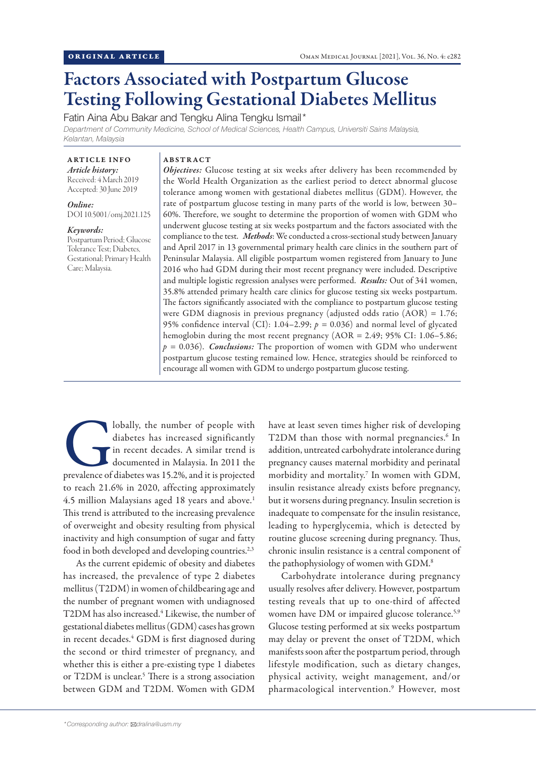# Factors Associated with Postpartum Glucose Testing Following Gestational Diabetes Mellitus

Fatin Aina Abu Bakar and Tengku Alina Tengku Ismail\* *Department of Community Medicine, School of Medical Sciences, Health Campus, Universiti Sains Malaysia, Kelantan, Malaysia*

# ARTICLE INFO

*Article history:* Received: 4 March 2019 Accepted: 30 June 2019

*Online:* DOI 10.5001/omj.2021.125

#### *Keywords:*

Postpartum Period; Glucose Tolerance Test; Diabetes, Gestational; Primary Health Care; Malaysia.

#### ABSTRACT

*Objectives:* Glucose testing at six weeks after delivery has been recommended by the World Health Organization as the earliest period to detect abnormal glucose tolerance among women with gestational diabetes mellitus (GDM). However, the rate of postpartum glucose testing in many parts of the world is low, between 30– 60%. Therefore, we sought to determine the proportion of women with GDM who underwent glucose testing at six weeks postpartum and the factors associated with the compliance to the test. *Methods*: We conducted a cross-sectional study between January and April 2017 in 13 governmental primary health care clinics in the southern part of Peninsular Malaysia. All eligible postpartum women registered from January to June 2016 who had GDM during their most recent pregnancy were included. Descriptive and multiple logistic regression analyses were performed. *Results:* Out of 341 women, 35.8% attended primary health care clinics for glucose testing six weeks postpartum. The factors significantly associated with the compliance to postpartum glucose testing were GDM diagnosis in previous pregnancy (adjusted odds ratio (AOR) = 1.76; 95% confidence interval (CI): 1.04–2.99;  $p = 0.036$ ) and normal level of glycated hemoglobin during the most recent pregnancy (AOR = 2.49; 95% CI: 1.06–5.86;  $p = 0.036$ ). *Conclusions:* The proportion of women with GDM who underwent postpartum glucose testing remained low. Hence, strategies should be reinforced to encourage all women with GDM to undergo postpartum glucose testing.

Iobally, the number of people with<br>
diabetes has increased significantly<br>
in recent decades. A similar trend is<br>
documented in Malaysia. In 2011 the<br>
prevalence of diabetes was 15.2%, and it is projected diabetes has increased significantly in recent decades. A similar trend is documented in Malaysia. In 2011 the to reach 21.6% in 2020, affecting approximately 4.5 million Malaysians aged 18 years and above.<sup>1</sup> This trend is attributed to the increasing prevalence of overweight and obesity resulting from physical inactivity and high consumption of sugar and fatty food in both developed and developing countries.<sup>2,3</sup>

As the current epidemic of obesity and diabetes has increased, the prevalence of type 2 diabetes mellitus (T2DM) in women of childbearing age and the number of pregnant women with undiagnosed T2DM has also increased.<sup>4</sup> Likewise, the number of gestational diabetes mellitus (GDM) cases has grown in recent decades.<sup>4</sup> GDM is first diagnosed during the second or third trimester of pregnancy, and whether this is either a pre-existing type 1 diabetes or T2DM is unclear.<sup>5</sup> There is a strong association between GDM and T2DM. Women with GDM

have at least seven times higher risk of developing T2DM than those with normal pregnancies.<sup>6</sup> In addition, untreated carbohydrate intolerance during pregnancy causes maternal morbidity and perinatal morbidity and mortality.7 In women with GDM, insulin resistance already exists before pregnancy, but it worsens during pregnancy. Insulin secretion is inadequate to compensate for the insulin resistance, leading to hyperglycemia, which is detected by routine glucose screening during pregnancy. Thus, chronic insulin resistance is a central component of the pathophysiology of women with GDM.<sup>8</sup>

Carbohydrate intolerance during pregnancy usually resolves after delivery. However, postpartum testing reveals that up to one-third of affected women have DM or impaired glucose tolerance.<sup>5,9</sup> Glucose testing performed at six weeks postpartum may delay or prevent the onset of T2DM, which manifests soon after the postpartum period, through lifestyle modification, such as dietary changes, physical activity, weight management, and/or pharmacological intervention.9 However, most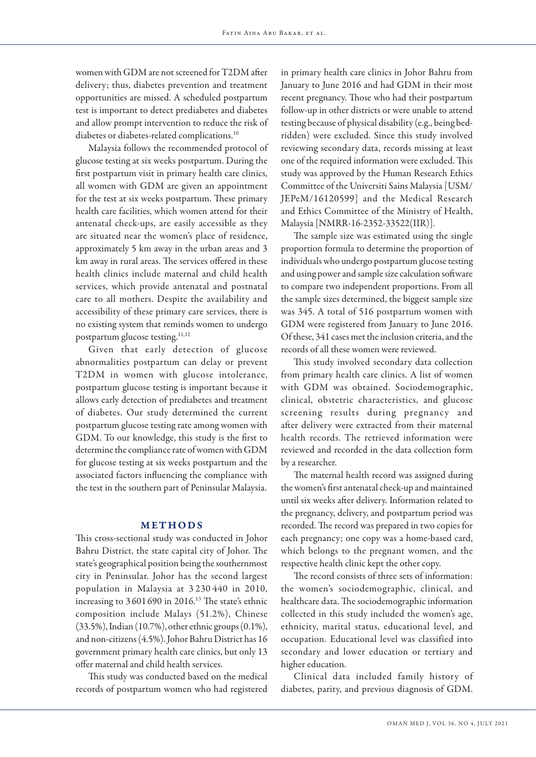women with GDM are not screened for T2DM after delivery; thus, diabetes prevention and treatment opportunities are missed. A scheduled postpartum test is important to detect prediabetes and diabetes and allow prompt intervention to reduce the risk of diabetes or diabetes-related complications.10

Malaysia follows the recommended protocol of glucose testing at six weeks postpartum. During the first postpartum visit in primary health care clinics, all women with GDM are given an appointment for the test at six weeks postpartum. These primary health care facilities, which women attend for their antenatal check-ups, are easily accessible as they are situated near the women's place of residence, approximately 5 km away in the urban areas and 3 km away in rural areas. The services offered in these health clinics include maternal and child health services, which provide antenatal and postnatal care to all mothers. Despite the availability and accessibility of these primary care services, there is no existing system that reminds women to undergo postpartum glucose testing.<sup>11,12</sup>

Given that early detection of glucose abnormalities postpartum can delay or prevent T2DM in women with glucose intolerance, postpartum glucose testing is important because it allows early detection of prediabetes and treatment of diabetes. Our study determined the current postpartum glucose testing rate among women with GDM. To our knowledge, this study is the first to determine the compliance rate of women with GDM for glucose testing at six weeks postpartum and the associated factors influencing the compliance with the test in the southern part of Peninsular Malaysia.

# METHODS

This cross-sectional study was conducted in Johor Bahru District, the state capital city of Johor. The state's geographical position being the southernmost city in Peninsular. Johor has the second largest population in Malaysia at 3 230 440 in 2010, increasing to 3 601 690 in 2016.13 The state's ethnic composition include Malays (51.2%), Chinese (33.5%), Indian (10.7%), other ethnic groups (0.1%), and non-citizens (4.5%). Johor Bahru District has 16 government primary health care clinics, but only 13 offer maternal and child health services.

This study was conducted based on the medical records of postpartum women who had registered

in primary health care clinics in Johor Bahru from January to June 2016 and had GDM in their most recent pregnancy. Those who had their postpartum follow-up in other districts or were unable to attend testing because of physical disability (e.g., being bedridden) were excluded. Since this study involved reviewing secondary data, records missing at least one of the required information were excluded. This study was approved by the Human Research Ethics Committee of the Universiti Sains Malaysia [USM/ JEPeM/16120599] and the Medical Research and Ethics Committee of the Ministry of Health, Malaysia [NMRR-16-2352-33522(IIR)].

The sample size was estimated using the single proportion formula to determine the proportion of individuals who undergo postpartum glucose testing and using power and sample size calculation software to compare two independent proportions. From all the sample sizes determined, the biggest sample size was 345. A total of 516 postpartum women with GDM were registered from January to June 2016. Of these, 341 cases met the inclusion criteria, and the records of all these women were reviewed.

This study involved secondary data collection from primary health care clinics. A list of women with GDM was obtained. Sociodemographic, clinical, obstetric characteristics, and glucose screening results during pregnancy and after delivery were extracted from their maternal health records. The retrieved information were reviewed and recorded in the data collection form by a researcher.

The maternal health record was assigned during the women's first antenatal check-up and maintained until six weeks after delivery. Information related to the pregnancy, delivery, and postpartum period was recorded. The record was prepared in two copies for each pregnancy; one copy was a home-based card, which belongs to the pregnant women, and the respective health clinic kept the other copy.

The record consists of three sets of information: the women's sociodemographic, clinical, and healthcare data. The sociodemographic information collected in this study included the women's age, ethnicity, marital status, educational level, and occupation. Educational level was classified into secondary and lower education or tertiary and higher education.

Clinical data included family history of diabetes, parity, and previous diagnosis of GDM.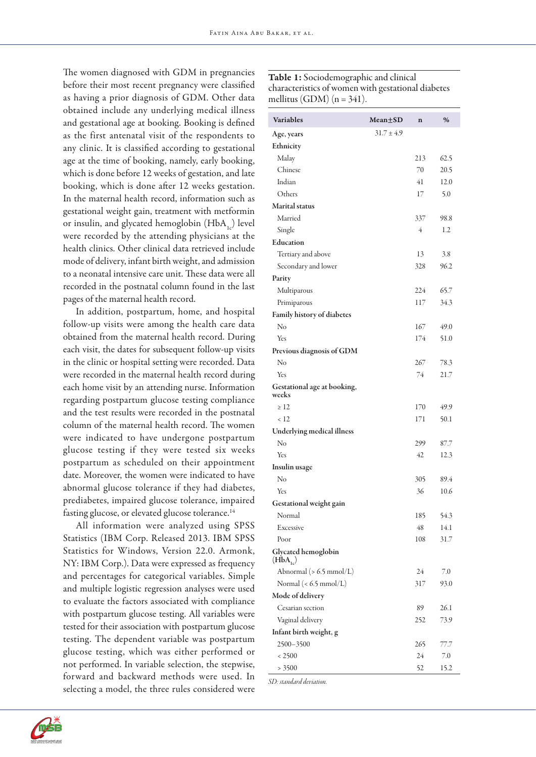The women diagnosed with GDM in pregnancies before their most recent pregnancy were classified as having a prior diagnosis of GDM. Other data obtained include any underlying medical illness and gestational age at booking. Booking is defined as the first antenatal visit of the respondents to any clinic. It is classified according to gestational age at the time of booking, namely, early booking, which is done before 12 weeks of gestation, and late booking, which is done after 12 weeks gestation. In the maternal health record, information such as gestational weight gain, treatment with metformin or insulin, and glycated hemoglobin  $(HbA_1)$  level were recorded by the attending physicians at the health clinics. Other clinical data retrieved include mode of delivery, infant birth weight, and admission to a neonatal intensive care unit. These data were all recorded in the postnatal column found in the last pages of the maternal health record.

In addition, postpartum, home, and hospital follow-up visits were among the health care data obtained from the maternal health record. During each visit, the dates for subsequent follow-up visits in the clinic or hospital setting were recorded. Data were recorded in the maternal health record during each home visit by an attending nurse. Information regarding postpartum glucose testing compliance and the test results were recorded in the postnatal column of the maternal health record. The women were indicated to have undergone postpartum glucose testing if they were tested six weeks postpartum as scheduled on their appointment date. Moreover, the women were indicated to have abnormal glucose tolerance if they had diabetes, prediabetes, impaired glucose tolerance, impaired fasting glucose, or elevated glucose tolerance.<sup>14</sup>

All information were analyzed using SPSS Statistics (IBM Corp. Released 2013. IBM SPSS Statistics for Windows, Version 22.0. Armonk, NY: IBM Corp.). Data were expressed as frequency and percentages for categorical variables. Simple and multiple logistic regression analyses were used to evaluate the factors associated with compliance with postpartum glucose testing. All variables were tested for their association with postpartum glucose testing. The dependent variable was postpartum glucose testing, which was either performed or not performed. In variable selection, the stepwise, forward and backward methods were used. In selecting a model, the three rules considered were Table 1: Sociodemographic and clinical characteristics of women with gestational diabetes mellitus (GDM) ( $n = 341$ ).

| <b>Variables</b>                     | $Mean \pm SD$  | $\mathbf n$    | %       |
|--------------------------------------|----------------|----------------|---------|
| Age, years                           | $31.7 \pm 4.9$ |                |         |
| Ethnicity                            |                |                |         |
| Malay                                |                | 213            | 62.5    |
| Chinese                              |                | 70             | 20.5    |
| Indian                               |                | 41             | 12.0    |
| Others                               |                | 17             | 5.0     |
| <b>Marital</b> status                |                |                |         |
| Married                              |                | 337            | 98.8    |
| Single                               |                | $\overline{4}$ | 1.2     |
| Education                            |                |                |         |
| Tertiary and above                   |                | 13             | 3.8     |
| Secondary and lower                  |                | 328            | 96.2    |
| Parity                               |                |                |         |
| Multiparous                          |                | 224            | 65.7    |
| Primiparous                          |                | 117            | 34.3    |
| <b>Family history of diabetes</b>    |                |                |         |
| No                                   |                | 167            | 49.0    |
| Yes                                  |                | 174            | 51.0    |
| Previous diagnosis of GDM            |                |                |         |
| No                                   |                | 267            | 78.3    |
| Yes                                  |                | 74             | 21.7    |
| Gestational age at booking,<br>weeks |                |                |         |
| $\geq 12$                            |                | 170            | 49.9    |
| < 12                                 |                | 171            | 50.1    |
| Underlying medical illness           |                |                |         |
| No                                   |                | 299            | 87.7    |
| Yes                                  |                | 42             | 12.3    |
| Insulin usage                        |                |                |         |
| No                                   |                | 305            | 89.4    |
| Yes                                  |                | 36             | 10.6    |
| Gestational weight gain              |                |                |         |
| Normal                               |                | 185            | 54.3    |
| Excessive                            |                | 48             | 14.1    |
| Poor                                 |                | 108            | 31.7    |
| Glycated hemoglobin<br>$(HbA_{1c})$  |                |                |         |
| Abnormal ( $> 6.5$ mmol/L)           |                | 24             | $7.0\,$ |
| Normal $(< 6.5$ mmol/L)              |                | 317            | 93.0    |
| Mode of delivery                     |                |                |         |
| Cesarian section                     |                | 89             | 26.1    |
| Vaginal delivery                     |                | 252            | 73.9    |
| Infant birth weight, g               |                |                |         |
| 2500-3500                            |                | 265            | 77.7    |
| < 2500                               |                | 24             | 7.0     |
| > 3500                               |                | 52             | 15.2    |

*SD: standard deviation.*

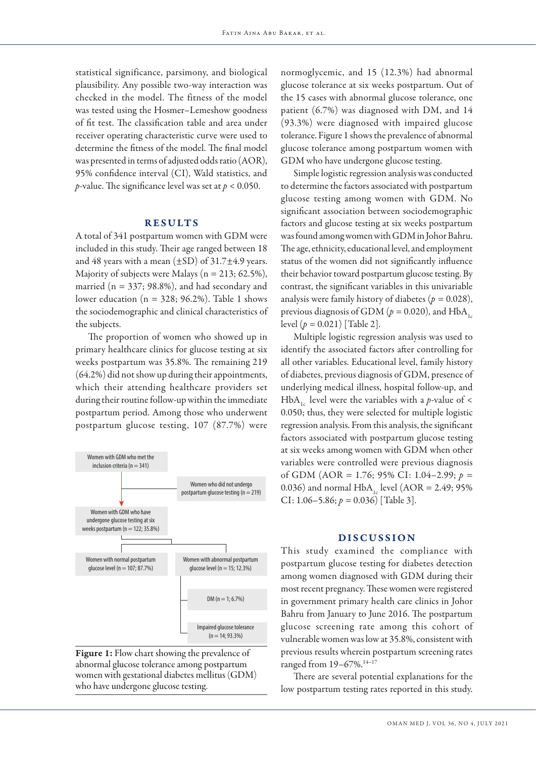statistical significance, parsimony, and biological plausibility. Any possible two-way interaction was checked in the model. The fitness of the model was tested using the Hosmer–Lemeshow goodness of fit test. The classification table and area under receiver operating characteristic curve were used to determine the fitness of the model. The final model was presented in terms of adjusted odds ratio (AOR), 95% confidence interval (CI), Wald statistics, and *p*-value. The significance level was set at *p* < 0.050.

## RESULTS

A total of 341 postpartum women with GDM were included in this study. Their age ranged between 18 and 48 years with a mean  $(\pm SD)$  of 31.7 $\pm$ 4.9 years. Majority of subjects were Malays ( $n = 213$ ; 62.5%), married ( $n = 337$ ; 98.8%), and had secondary and lower education ( $n = 328$ ; 96.2%). Table 1 shows the sociodemographic and clinical characteristics of the subjects.

The proportion of women who showed up in primary healthcare clinics for glucose testing at six weeks postpartum was 35.8%. The remaining 219 (64.2%) did not show up during their appointments, which their attending healthcare providers set during their routine follow-up within the immediate postpartum period. Among those who underwent postpartum glucose testing, 107 (87.7%) were





normoglycemic, and 15 (12.3%) had abnormal glucose tolerance at six weeks postpartum. Out of the 15 cases with abnormal glucose tolerance, one patient (6.7%) was diagnosed with DM, and 14 (93.3%) were diagnosed with impaired glucose tolerance. Figure 1 shows the prevalence of abnormal glucose tolerance among postpartum women with GDM who have undergone glucose testing.

Simple logistic regression analysis was conducted to determine the factors associated with postpartum glucose testing among women with GDM. No significant association between sociodemographic factors and glucose testing at six weeks postpartum was found among women with GDM in Johor Bahru. The age, ethnicity, educational level, and employment status of the women did not significantly influence their behavior toward postpartum glucose testing. By contrast, the significant variables in this univariable analysis were family history of diabetes (*p =* 0.028), previous diagnosis of GDM ( $p = 0.020$ ), and HbA<sub>1s</sub> level (*p =* 0.021) [Table 2].

Multiple logistic regression analysis was used to identify the associated factors after controlling for all other variables. Educational level, family history of diabetes, previous diagnosis of GDM, presence of underlying medical illness, hospital follow-up, and HbA<sub>1</sub> level were the variables with a *p*-value of < 0.050; thus, they were selected for multiple logistic regression analysis. From this analysis, the significant factors associated with postpartum glucose testing at six weeks among women with GDM when other variables were controlled were previous diagnosis of GDM (AOR = 1.76; 95% CI: 1.04–2.99; *p =*  0.036) and normal  $HbA_1$  level (AOR = 2.49; 95% CI: 1.06–5.86; *p =* 0.036) [Table 3].

#### DISCUSSION

This study examined the compliance with postpartum glucose testing for diabetes detection among women diagnosed with GDM during their most recent pregnancy. These women were registered in government primary health care clinics in Johor Bahru from January to June 2016. The postpartum glucose screening rate among this cohort of vulnerable women was low at 35.8%, consistent with previous results wherein postpartum screening rates ranged from 19-67%.<sup>14-17</sup>

There are several potential explanations for the low postpartum testing rates reported in this study.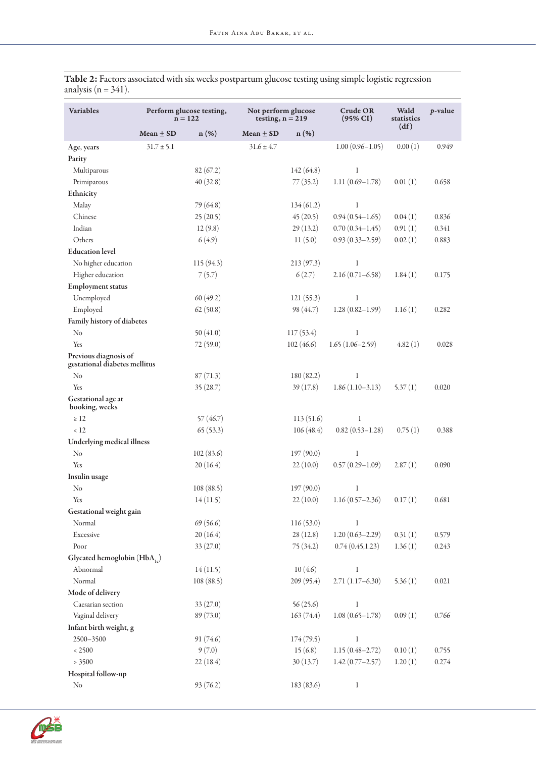| <b>Variables</b>                                       | Perform glucose testing,<br>$n = 122$ |           | Not perform glucose<br>testing, $n = 219$ |            | <b>Crude OR</b><br>$(95\% CI)$ | Wald<br>statistics<br>(df) | p-value |
|--------------------------------------------------------|---------------------------------------|-----------|-------------------------------------------|------------|--------------------------------|----------------------------|---------|
|                                                        | Mean $\pm$ SD                         | $n(\%)$   | Mean $\pm$ SD                             | $n$ (%)    |                                |                            |         |
| Age, years                                             | $31.7 \pm 5.1$                        |           | $31.6 \pm 4.7$                            |            | $1.00(0.96 - 1.05)$            | 0.00(1)                    | 0.949   |
| Parity                                                 |                                       |           |                                           |            |                                |                            |         |
| Multiparous                                            |                                       | 82(67.2)  |                                           | 142(64.8)  | $\mathbf{1}$                   |                            |         |
| Primiparous                                            |                                       | 40(32.8)  |                                           | 77(35.2)   | $1.11(0.69 - 1.78)$            | 0.01(1)                    | 0.658   |
| Ethnicity                                              |                                       |           |                                           |            |                                |                            |         |
| Malay                                                  |                                       | 79 (64.8) |                                           | 134(61.2)  | $\mathbf{1}$                   |                            |         |
| Chinese                                                |                                       | 25(20.5)  |                                           | 45(20.5)   | $0.94(0.54 - 1.65)$            | 0.04(1)                    | 0.836   |
| Indian                                                 |                                       | 12(9.8)   |                                           | 29(13.2)   | $0.70(0.34 - 1.45)$            | 0.91(1)                    | 0.341   |
| Others                                                 |                                       | 6(4.9)    |                                           | 11(5.0)    | $0.93(0.33 - 2.59)$            | 0.02(1)                    | 0.883   |
| <b>Education</b> level                                 |                                       |           |                                           |            |                                |                            |         |
| No higher education                                    |                                       | 115(94.3) |                                           | 213(97.3)  | $\mathbf{1}$                   |                            |         |
| Higher education                                       |                                       | 7(5.7)    |                                           | 6(2.7)     | $2.16(0.71 - 6.58)$            | 1.84(1)                    | 0.175   |
| <b>Employment status</b>                               |                                       |           |                                           |            |                                |                            |         |
| Unemployed                                             |                                       | 60(49.2)  |                                           | 121(55.3)  | $\mathbf{1}$                   |                            |         |
| Employed                                               |                                       | 62(50.8)  |                                           | 98 (44.7)  | $1.28(0.82 - 1.99)$            | 1.16(1)                    | 0.282   |
| Family history of diabetes                             |                                       |           |                                           |            |                                |                            |         |
| No                                                     |                                       | 50(41.0)  |                                           | 117(53.4)  | 1                              |                            |         |
| Yes                                                    |                                       | 72(59.0)  |                                           | 102(46.6)  | $1.65(1.06-2.59)$              | 4.82(1)                    | 0.028   |
| Previous diagnosis of<br>gestational diabetes mellitus |                                       |           |                                           |            |                                |                            |         |
| No                                                     |                                       | 87(71.3)  |                                           | 180(82.2)  | $\mathbf{1}$                   |                            |         |
| Yes                                                    |                                       | 35(28.7)  |                                           | 39(17.8)   | $1.86(1.10-3.13)$              | 5.37(1)                    | 0.020   |
| Gestational age at<br>booking, weeks                   |                                       |           |                                           |            |                                |                            |         |
| $\geq 12$                                              |                                       | 57(46.7)  |                                           | 113(51.6)  | 1                              |                            |         |
| < 12                                                   |                                       | 65(53.3)  |                                           | 106(48.4)  | $0.82(0.53 - 1.28)$            | 0.75(1)                    | 0.388   |
| Underlying medical illness                             |                                       |           |                                           |            |                                |                            |         |
| No                                                     |                                       | 102(83.6) |                                           | 197(90.0)  | $\mathbf{1}$                   |                            |         |
| Yes                                                    |                                       | 20(16.4)  |                                           | 22(10.0)   | $0.57(0.29 - 1.09)$            | 2.87(1)                    | 0.090   |
| Insulin usage                                          |                                       |           |                                           |            |                                |                            |         |
| No                                                     |                                       | 108(88.5) |                                           | 197(90.0)  | $\mathbf{1}$                   |                            |         |
| Yes                                                    |                                       | 14(11.5)  |                                           | 22(10.0)   | $1.16(0.57 - 2.36)$            | 0.17(1)                    | 0.681   |
| Gestational weight gain                                |                                       |           |                                           |            |                                |                            |         |
| Normal                                                 |                                       | 69(56.6)  |                                           | 116(53.0)  | 1                              |                            |         |
| Excessive                                              |                                       | 20(16.4)  |                                           | 28(12.8)   | $1.20(0.63 - 2.29)$            | 0.31(1)                    | 0.579   |
| Poor                                                   |                                       | 33(27.0)  |                                           | 75 (34.2)  | 0.74(0.45, 1.23)               | 1.36(1)                    | 0.243   |
| Glycated hemoglobin (HbA,)                             |                                       |           |                                           |            |                                |                            |         |
| Abnormal                                               |                                       | 14(11.5)  |                                           | 10(4.6)    | $\mathbf{1}$                   |                            |         |
| Normal                                                 |                                       | 108(88.5) |                                           | 209(95.4)  | $2.71(1.17-6.30)$              | 5.36(1)                    | 0.021   |
| Mode of delivery                                       |                                       |           |                                           |            |                                |                            |         |
| Caesarian section                                      |                                       | 33(27.0)  |                                           | 56(25.6)   | $\mathbf{1}$                   |                            |         |
| Vaginal delivery                                       |                                       | 89(73.0)  |                                           | 163(74.4)  | $1.08(0.65 - 1.78)$            | 0.09(1)                    | 0.766   |
| Infant birth weight, g                                 |                                       |           |                                           |            |                                |                            |         |
| 2500-3500                                              |                                       | 91(74.6)  |                                           | 174(79.5)  | $\mathbf{1}$                   |                            |         |
| < 2500                                                 |                                       | 9(7.0)    |                                           | 15(6.8)    | $1.15(0.48 - 2.72)$            | 0.10(1)                    | 0.755   |
| > 3500                                                 |                                       | 22(18.4)  |                                           | 30(13.7)   | $1.42(0.77 - 2.57)$            | 1.20(1)                    | 0.274   |
| Hospital follow-up                                     |                                       |           |                                           |            |                                |                            |         |
| No                                                     |                                       | 93(76.2)  |                                           | 183 (83.6) | $\mathbf{1}$                   |                            |         |

Table 2: Factors associated with six weeks postpartum glucose testing using simple logistic regression analysis ( $n = 341$ ).

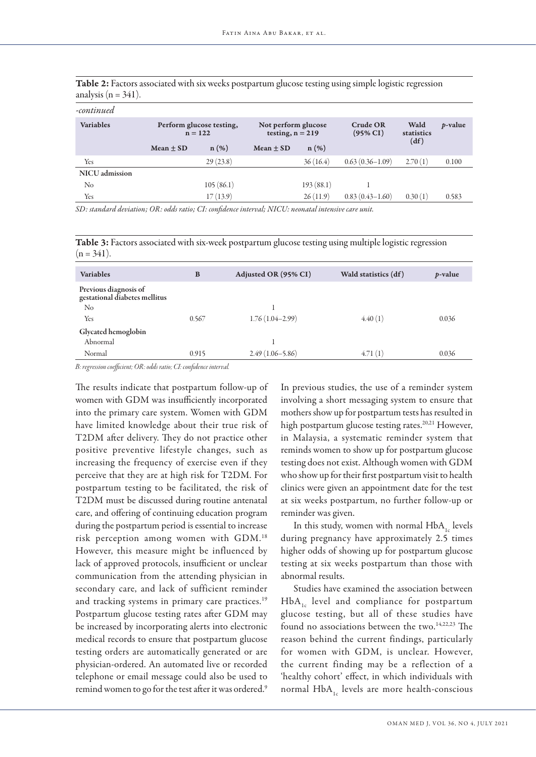| -continued       |                                       |           |                                           |           |                                 |                            |                 |
|------------------|---------------------------------------|-----------|-------------------------------------------|-----------|---------------------------------|----------------------------|-----------------|
| <b>Variables</b> | Perform glucose testing,<br>$n = 122$ |           | Not perform glucose<br>testing, $n = 219$ |           | Crude OR<br>$(95\% \text{ CI})$ | Wald<br>statistics<br>(df) | <i>p</i> -value |
|                  | $Mean + SD$                           | $n(\%)$   | $Mean + SD$                               | $n(\%)$   |                                 |                            |                 |
| Yes              |                                       | 29(23.8)  |                                           | 36(16.4)  | $0.63(0.36 - 1.09)$             | 2.70(1)                    | 0.100           |
| NICU admission   |                                       |           |                                           |           |                                 |                            |                 |
| No               |                                       | 105(86.1) |                                           | 193(88.1) |                                 |                            |                 |
| Yes              |                                       | 17(13.9)  |                                           | 26(11.9)  | $0.83(0.43 - 1.60)$             | 0.30(1)                    | 0.583           |

Table 2: Factors associated with six weeks postpartum glucose testing using simple logistic regression analysis ( $n = 341$ ).

*SD: standard deviation; OR: odds ratio; CI: confidence interval; NICU: neonatal intensive care unit.*

Table 3: Factors associated with six-week postpartum glucose testing using multiple logistic regression  $(n = 341)$ .

| <b>Variables</b>                                       | B     | Adjusted OR (95% CI) | Wald statistics (df) | <i>p</i> -value |
|--------------------------------------------------------|-------|----------------------|----------------------|-----------------|
| Previous diagnosis of<br>gestational diabetes mellitus |       |                      |                      |                 |
| No                                                     |       |                      |                      |                 |
| Yes                                                    | 0.567 | $1.76(1.04-2.99)$    | 4.40(1)              | 0.036           |
| Glycated hemoglobin                                    |       |                      |                      |                 |
| Abnormal                                               |       |                      |                      |                 |
| Normal                                                 | 0.915 | $2.49(1.06 - 5.86)$  | 4.71(1)              | 0.036           |
|                                                        |       |                      |                      |                 |

*B: regression coefficient; OR: odds ratio; CI: confidence interval.*

The results indicate that postpartum follow-up of women with GDM was insufficiently incorporated into the primary care system. Women with GDM have limited knowledge about their true risk of T2DM after delivery. They do not practice other positive preventive lifestyle changes, such as increasing the frequency of exercise even if they perceive that they are at high risk for T2DM. For postpartum testing to be facilitated, the risk of T2DM must be discussed during routine antenatal care, and offering of continuing education program during the postpartum period is essential to increase risk perception among women with GDM.18 However, this measure might be influenced by lack of approved protocols, insufficient or unclear communication from the attending physician in secondary care, and lack of sufficient reminder and tracking systems in primary care practices.<sup>19</sup> Postpartum glucose testing rates after GDM may be increased by incorporating alerts into electronic medical records to ensure that postpartum glucose testing orders are automatically generated or are physician-ordered. An automated live or recorded telephone or email message could also be used to remind women to go for the test after it was ordered.<sup>9</sup>

In previous studies, the use of a reminder system involving a short messaging system to ensure that mothers show up for postpartum tests has resulted in high postpartum glucose testing rates.<sup>20,21</sup> However, in Malaysia, a systematic reminder system that reminds women to show up for postpartum glucose testing does not exist. Although women with GDM who show up for their first postpartum visit to health clinics were given an appointment date for the test at six weeks postpartum, no further follow-up or reminder was given.

In this study, women with normal  $HbA_{1c}$  levels during pregnancy have approximately 2.5 times higher odds of showing up for postpartum glucose testing at six weeks postpartum than those with abnormal results.

Studies have examined the association between  $HbA<sub>1c</sub>$  level and compliance for postpartum glucose testing, but all of these studies have found no associations between the two.14,22,23 The reason behind the current findings, particularly for women with GDM, is unclear. However, the current finding may be a reflection of a 'healthy cohort' effect, in which individuals with normal  $HbA_{1c}$  levels are more health-conscious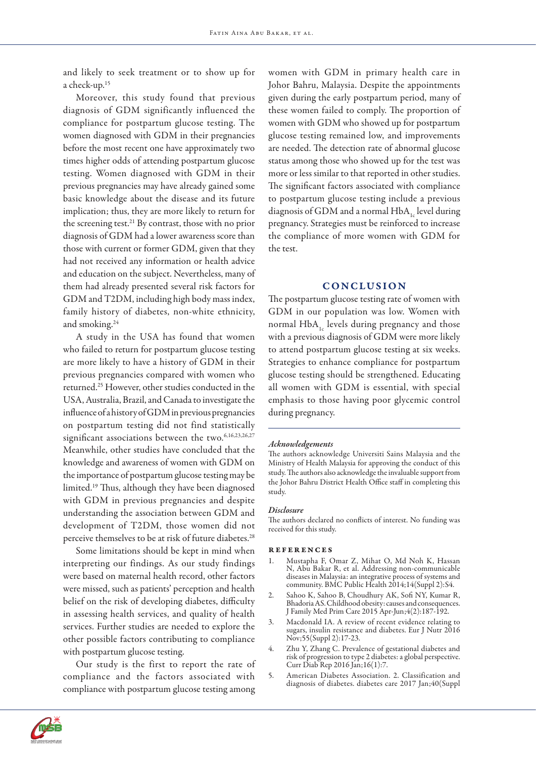and likely to seek treatment or to show up for a check-up.15

Moreover, this study found that previous diagnosis of GDM significantly influenced the compliance for postpartum glucose testing. The women diagnosed with GDM in their pregnancies before the most recent one have approximately two times higher odds of attending postpartum glucose testing. Women diagnosed with GDM in their previous pregnancies may have already gained some basic knowledge about the disease and its future implication; thus, they are more likely to return for the screening test.21 By contrast, those with no prior diagnosis of GDM had a lower awareness score than those with current or former GDM, given that they had not received any information or health advice and education on the subject. Nevertheless, many of them had already presented several risk factors for GDM and T2DM, including high body mass index, family history of diabetes, non-white ethnicity, and smoking.<sup>24</sup>

A study in the USA has found that women who failed to return for postpartum glucose testing are more likely to have a history of GDM in their previous pregnancies compared with women who returned.25 However, other studies conducted in the USA, Australia, Brazil, and Canada to investigate the influence of a history of GDM in previous pregnancies on postpartum testing did not find statistically significant associations between the two.<sup>6,16,23,26,27</sup> Meanwhile, other studies have concluded that the knowledge and awareness of women with GDM on the importance of postpartum glucose testing may be limited.19 Thus, although they have been diagnosed with GDM in previous pregnancies and despite understanding the association between GDM and development of T2DM, those women did not perceive themselves to be at risk of future diabetes.<sup>28</sup>

Some limitations should be kept in mind when interpreting our findings. As our study findings were based on maternal health record, other factors were missed, such as patients' perception and health belief on the risk of developing diabetes, difficulty in assessing health services, and quality of health services. Further studies are needed to explore the other possible factors contributing to compliance with postpartum glucose testing.

Our study is the first to report the rate of compliance and the factors associated with compliance with postpartum glucose testing among

women with GDM in primary health care in Johor Bahru, Malaysia. Despite the appointments given during the early postpartum period, many of these women failed to comply. The proportion of women with GDM who showed up for postpartum glucose testing remained low, and improvements are needed. The detection rate of abnormal glucose status among those who showed up for the test was more or less similar to that reported in other studies. The significant factors associated with compliance to postpartum glucose testing include a previous diagnosis of GDM and a normal HbA, level during pregnancy. Strategies must be reinforced to increase the compliance of more women with GDM for the test.

## **CONCLUSION**

The postpartum glucose testing rate of women with GDM in our population was low. Women with normal  $HbA_{1c}$  levels during pregnancy and those with a previous diagnosis of GDM were more likely to attend postpartum glucose testing at six weeks. Strategies to enhance compliance for postpartum glucose testing should be strengthened. Educating all women with GDM is essential, with special emphasis to those having poor glycemic control during pregnancy.

#### *Acknowledgements*

The authors acknowledge Universiti Sains Malaysia and the Ministry of Health Malaysia for approving the conduct of this study. The authors also acknowledge the invaluable support from the Johor Bahru District Health Office staff in completing this study.

#### *Disclosure*

The authors declared no conflicts of interest. No funding was received for this study.

#### references

- 1. Mustapha F, Omar Z, Mihat O, Md Noh K, Hassan N, Abu Bakar R, et al. Addressing non-communicable diseases in Malaysia: an integrative process of systems and community. BMC Public Health 2014;14(Suppl 2):S4.
- 2. Sahoo K, Sahoo B, Choudhury AK, Sofi NY, Kumar R, Bhadoria AS. Childhood obesity: causes and consequences. J Family Med Prim Care 2015 Apr-Jun;4(2):187-192.
- 3. Macdonald IA. A review of recent evidence relating to sugars, insulin resistance and diabetes. Eur J Nutr 2016 Nov;55(Suppl 2):17-23.
- 4. Zhu Y, Zhang C. Prevalence of gestational diabetes and risk of progression to type 2 diabetes: a global perspective. Curr Diab Rep 2016 Jan;16(1):7.
- 5. American Diabetes Association. 2. Classification and diagnosis of diabetes. diabetes care 2017 Jan;40(Suppl